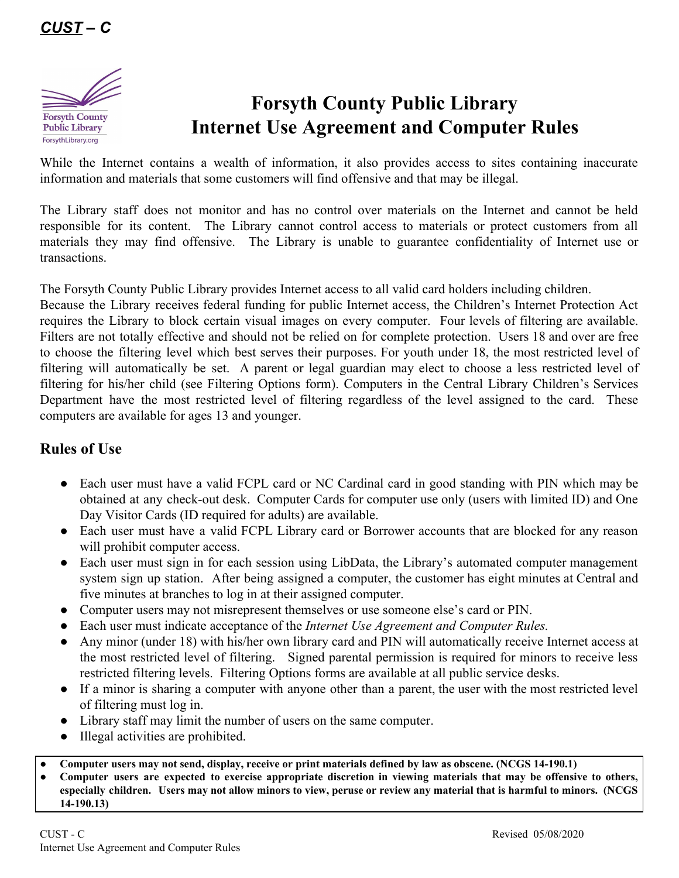

## **Forsyth County Public Library Internet Use Agreement and Computer Rules**

While the Internet contains a wealth of information, it also provides access to sites containing inaccurate information and materials that some customers will find offensive and that may be illegal.

The Library staff does not monitor and has no control over materials on the Internet and cannot be held responsible for its content. The Library cannot control access to materials or protect customers from all materials they may find offensive. The Library is unable to guarantee confidentiality of Internet use or transactions.

The Forsyth County Public Library provides Internet access to all valid card holders including children.

Because the Library receives federal funding for public Internet access, the Children's Internet Protection Act requires the Library to block certain visual images on every computer. Four levels of filtering are available. Filters are not totally effective and should not be relied on for complete protection. Users 18 and over are free to choose the filtering level which best serves their purposes. For youth under 18, the most restricted level of filtering will automatically be set. A parent or legal guardian may elect to choose a less restricted level of filtering for his/her child (see Filtering Options form). Computers in the Central Library Children's Services Department have the most restricted level of filtering regardless of the level assigned to the card. These computers are available for ages 13 and younger.

## **Rules of Use**

- Each user must have a valid FCPL card or NC Cardinal card in good standing with PIN which may be obtained at any check-out desk. Computer Cards for computer use only (users with limited ID) and One Day Visitor Cards (ID required for adults) are available.
- Each user must have a valid FCPL Library card or Borrower accounts that are blocked for any reason will prohibit computer access.
- Each user must sign in for each session using LibData, the Library's automated computer management system sign up station. After being assigned a computer, the customer has eight minutes at Central and five minutes at branches to log in at their assigned computer.
- Computer users may not misrepresent themselves or use someone else's card or PIN.
- Each user must indicate acceptance of the *Internet Use Agreement and Computer Rules.*
- Any minor (under 18) with his/her own library card and PIN will automatically receive Internet access at the most restricted level of filtering. Signed parental permission is required for minors to receive less restricted filtering levels. Filtering Options forms are available at all public service desks.
- If a minor is sharing a computer with anyone other than a parent, the user with the most restricted level of filtering must log in.
- Library staff may limit the number of users on the same computer.
- Illegal activities are prohibited.
- Computer users may not send, display, receive or print materials defined by law as obscene. (NCGS 14-190.1)
- Computer users are expected to exercise appropriate discretion in viewing materials that may be offensive to others, especially children. Users may not allow minors to view, peruse or review any material that is harmful to minors. (NCGS **14-190.13)**